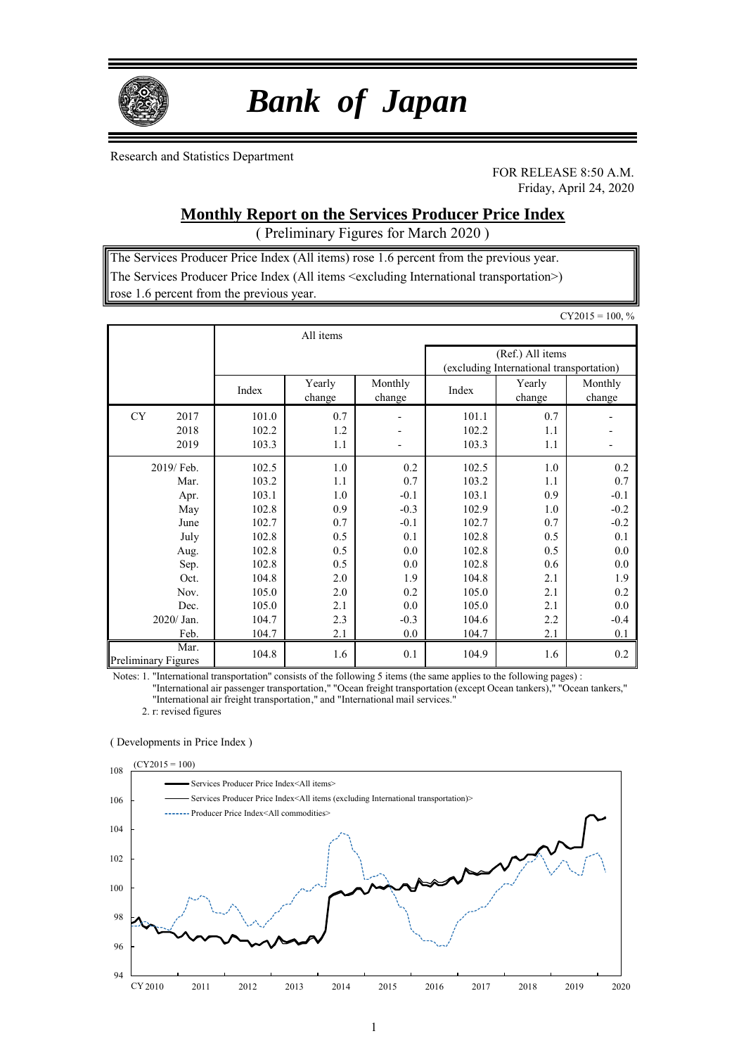

# *Bank of Japan*

Research and Statistics Department

FOR RELEASE 8:50 A.M. Friday, April 24, 2020

## **Monthly Report on the Services Producer Price Index**

( Preliminary Figures for March 2020 )

The Services Producer Price Index (All items) rose 1.6 percent from the previous year. The Services Producer Price Index (All items <excluding International transportation>) rose 1.6 percent from the previous year.

|                             |                |                  |                   |                |                                                              | $CY2015 = 100, %$ |
|-----------------------------|----------------|------------------|-------------------|----------------|--------------------------------------------------------------|-------------------|
|                             |                | All items        |                   |                |                                                              |                   |
|                             |                |                  |                   |                | (Ref.) All items<br>(excluding International transportation) |                   |
|                             | Index          | Yearly<br>change | Monthly<br>change | Index          | Yearly<br>change                                             | Monthly<br>change |
| <b>CY</b><br>2017           | 101.0          | 0.7              | $\overline{a}$    | 101.1          | 0.7                                                          |                   |
| 2018<br>2019                | 102.2<br>103.3 | 1.2<br>1.1       |                   | 102.2<br>103.3 | 1.1<br>1.1                                                   |                   |
| 2019/Feb.                   | 102.5          | 1.0              | 0.2               | 102.5          | 1.0                                                          | 0.2               |
| Mar.                        | 103.2          | 1.1              | 0.7               | 103.2          | 1.1                                                          | 0.7               |
| Apr.                        | 103.1          | 1.0              | $-0.1$            | 103.1          | 0.9                                                          | $-0.1$            |
| May                         | 102.8          | 0.9              | $-0.3$            | 102.9          | 1.0                                                          | $-0.2$            |
| June                        | 102.7          | 0.7              | $-0.1$            | 102.7          | 0.7                                                          | $-0.2$            |
| July                        | 102.8          | 0.5              | 0.1               | 102.8          | 0.5                                                          | 0.1               |
| Aug.                        | 102.8          | 0.5              | 0.0               | 102.8          | 0.5                                                          | 0.0               |
| Sep.                        | 102.8          | 0.5              | 0.0               | 102.8          | 0.6                                                          | 0.0               |
| Oct.                        | 104.8          | 2.0              | 1.9               | 104.8          | 2.1                                                          | 1.9               |
| Nov.                        | 105.0          | 2.0              | 0.2               | 105.0          | 2.1                                                          | 0.2               |
| Dec.                        | 105.0          | 2.1              | 0.0               | 105.0          | 2.1                                                          | 0.0               |
| 2020/ Jan.                  | 104.7          | 2.3              | $-0.3$            | 104.6          | 2.2                                                          | $-0.4$            |
| Feb.                        | 104.7          | 2.1              | 0.0               | 104.7          | 2.1                                                          | 0.1               |
| Mar.<br>Preliminary Figures | 104.8          | 1.6              | 0.1               | 104.9          | 1.6                                                          | 0.2               |

Notes: 1. "International transportation" consists of the following 5 items (the same applies to the following pages) :

"International air passenger transportation," "Ocean freight transportation (except Ocean tankers)," "Ocean tankers," "International air freight transportation," and "International mail services."

2. r: revised figures

#### ( Developments in Price Index )

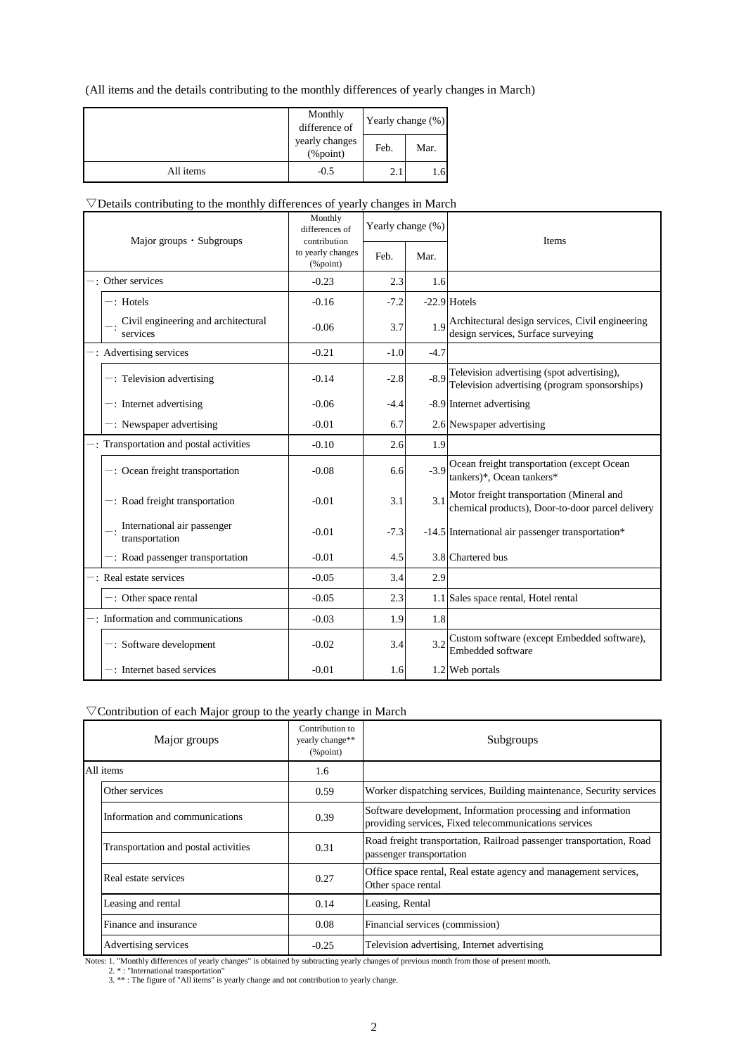#### (All items and the details contributing to the monthly differences of yearly changes in March)

|           | Monthly<br>difference of       | Yearly change (%) |      |  |  |
|-----------|--------------------------------|-------------------|------|--|--|
|           | yearly changes<br>$(\%$ point) | Feb.              | Mar. |  |  |
| All items | $-0.5$                         | 2.1               | 1.6  |  |  |

#### ▽Details contributing to the monthly differences of yearly changes in March

| Major groups • Subgroups |                                                     | Monthly<br>differences of<br>contribution | Yearly change (%) |        | <b>Items</b>                                                                                  |
|--------------------------|-----------------------------------------------------|-------------------------------------------|-------------------|--------|-----------------------------------------------------------------------------------------------|
|                          |                                                     | to yearly changes<br>$(\%$ point)         | Feb.              | Mar.   |                                                                                               |
|                          | -: Other services                                   | $-0.23$                                   | 2.3               | 1.6    |                                                                                               |
|                          | $-$ : Hotels                                        | $-0.16$                                   | $-7.2$            |        | $-22.9$ Hotels                                                                                |
|                          | Civil engineering and architectural<br>services     | $-0.06$                                   | 3.7               | 1.9    | Architectural design services, Civil engineering<br>design services, Surface surveying        |
|                          | -: Advertising services                             | $-0.21$                                   | $-1.0$            | $-4.7$ |                                                                                               |
|                          | $-$ : Television advertising                        | $-0.14$                                   | $-2.8$            | $-8.9$ | Television advertising (spot advertising),<br>Television advertising (program sponsorships)   |
|                          | $-$ : Internet advertising                          | $-0.06$                                   | $-4.4$            |        | -8.9 Internet advertising                                                                     |
|                          | $-$ : Newspaper advertising                         | $-0.01$                                   | 6.7               |        | 2.6 Newspaper advertising                                                                     |
|                          | -: Transportation and postal activities             | $-0.10$                                   | 2.6               | 1.9    |                                                                                               |
|                          | $-$ : Ocean freight transportation                  | $-0.08$                                   | 6.6               | $-3.9$ | Ocean freight transportation (except Ocean<br>tankers)*, Ocean tankers*                       |
|                          | $-$ : Road freight transportation                   | $-0.01$                                   | 3.1               | 3.1    | Motor freight transportation (Mineral and<br>chemical products), Door-to-door parcel delivery |
|                          | International air passenger<br>$-$ : transportation | $-0.01$                                   | $-7.3$            |        | -14.5 International air passenger transportation*                                             |
|                          | $-$ : Road passenger transportation                 | $-0.01$                                   | 4.5               |        | 3.8 Chartered bus                                                                             |
|                          | $-$ Real estate services                            | $-0.05$                                   | 3.4               | 2.9    |                                                                                               |
|                          | $-$ : Other space rental                            | $-0.05$                                   | 2.3               |        | 1.1 Sales space rental, Hotel rental                                                          |
|                          | -: Information and communications                   | $-0.03$                                   | 1.9               | 1.8    |                                                                                               |
|                          | $-$ : Software development                          | $-0.02$                                   | 3.4               | 3.2    | Custom software (except Embedded software),<br>Embedded software                              |
|                          | $-$ : Internet based services                       | $-0.01$                                   | 1.6               |        | 1.2 Web portals                                                                               |

#### ▽Contribution of each Major group to the yearly change in March

| Major groups |                                      | Contribution to<br>yearly change**<br>$(\%$ point) | Subgroups                                                                                                             |
|--------------|--------------------------------------|----------------------------------------------------|-----------------------------------------------------------------------------------------------------------------------|
|              | All items                            | 1.6                                                |                                                                                                                       |
|              | Other services                       | 0.59                                               | Worker dispatching services, Building maintenance, Security services                                                  |
|              | Information and communications       | 0.39                                               | Software development, Information processing and information<br>providing services, Fixed telecommunications services |
|              | Transportation and postal activities | 0.31                                               | Road freight transportation, Railroad passenger transportation, Road<br>passenger transportation                      |
|              | Real estate services                 | 0.27                                               | Office space rental, Real estate agency and management services,<br>Other space rental                                |
|              | Leasing and rental                   | 0.14                                               | Leasing, Rental                                                                                                       |
|              | Finance and insurance                | 0.08                                               | Financial services (commission)                                                                                       |
|              | Advertising services                 | $-0.25$                                            | Television advertising, Internet advertising                                                                          |

Notes: 1. "Monthly differences of yearly changes" is obtained by subtracting yearly changes of previous month from those of present month.<br>2. \* : "International transportation"<br>3. \*\* : The figure of "All items" is yearly c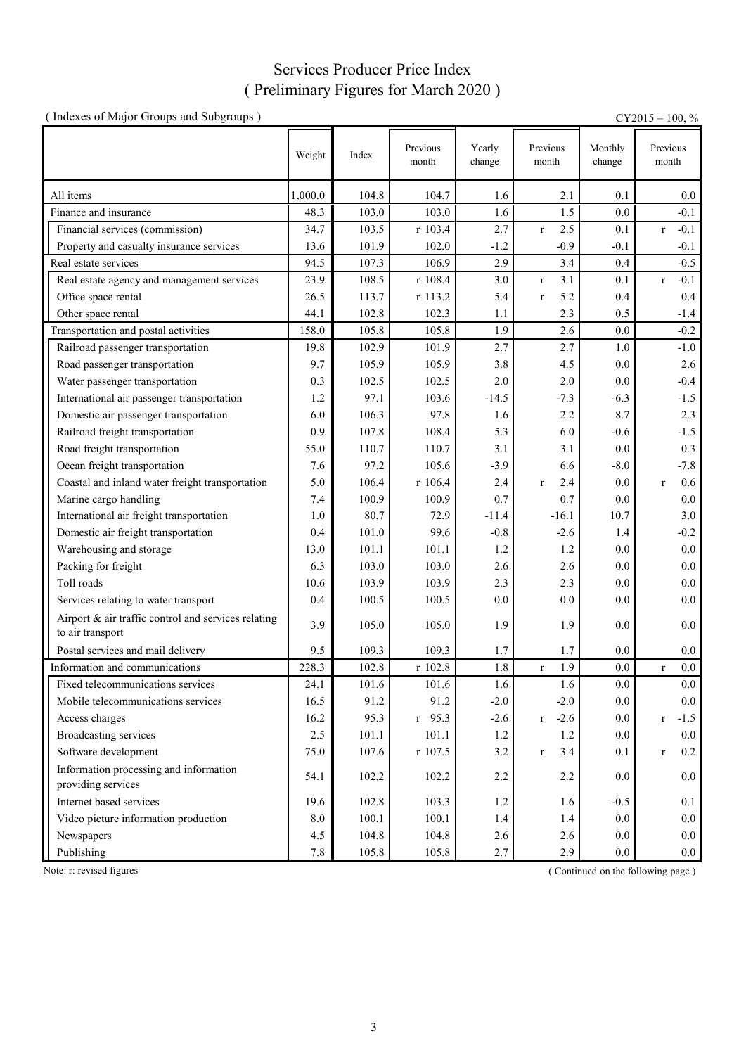## Services Producer Price Index ( Preliminary Figures for March 2020 )

| (Indexes of Major Groups and Subgroups)                                 |         |       |                   |                  |                           |                   | $CY2015 = 100, \%$     |
|-------------------------------------------------------------------------|---------|-------|-------------------|------------------|---------------------------|-------------------|------------------------|
|                                                                         | Weight  | Index | Previous<br>month | Yearly<br>change | Previous<br>month         | Monthly<br>change | Previous<br>month      |
| All items                                                               | 1,000.0 | 104.8 | 104.7             | 1.6              | 2.1                       | 0.1               | $0.0\,$                |
| Finance and insurance                                                   | 48.3    | 103.0 | 103.0             | 1.6              | 1.5                       | 0.0               | $-0.1$                 |
| Financial services (commission)                                         | 34.7    | 103.5 | r 103.4           | 2.7              | 2.5<br>$\bf r$            | 0.1               | $-0.1$<br>$\mathbf r$  |
| Property and casualty insurance services                                | 13.6    | 101.9 | 102.0             | $-1.2$           | $-0.9$                    | $-0.1$            | $-0.1$                 |
| Real estate services                                                    | 94.5    | 107.3 | 106.9             | 2.9              | 3.4                       | 0.4               | $-0.5$                 |
| Real estate agency and management services                              | 23.9    | 108.5 | r 108.4           | 3.0              | 3.1<br>$\mathbf r$        | 0.1               | $-0.1$<br>$\mathbf{r}$ |
| Office space rental                                                     | 26.5    | 113.7 | r 113.2           | 5.4              | 5.2<br>$\mathbf r$        | 0.4               | 0.4                    |
| Other space rental                                                      | 44.1    | 102.8 | 102.3             | 1.1              | 2.3                       | 0.5               | $-1.4$                 |
| Transportation and postal activities                                    | 158.0   | 105.8 | 105.8             | 1.9              | 2.6                       | 0.0               | $-0.2$                 |
| Railroad passenger transportation                                       | 19.8    | 102.9 | 101.9             | 2.7              | 2.7                       | 1.0               | $-1.0$                 |
| Road passenger transportation                                           | 9.7     | 105.9 | 105.9             | 3.8              | 4.5                       | 0.0               | 2.6                    |
| Water passenger transportation                                          | 0.3     | 102.5 | 102.5             | 2.0              | 2.0                       | 0.0               | $-0.4$                 |
| International air passenger transportation                              | 1.2     | 97.1  | 103.6             | $-14.5$          | $-7.3$                    | $-6.3$            | $-1.5$                 |
| Domestic air passenger transportation                                   | 6.0     | 106.3 | 97.8              | 1.6              | 2.2                       | 8.7               | 2.3                    |
| Railroad freight transportation                                         | 0.9     | 107.8 | 108.4             | 5.3              | 6.0                       | $-0.6$            | $-1.5$                 |
| Road freight transportation                                             | 55.0    | 110.7 | 110.7             | 3.1              | 3.1                       | 0.0               | 0.3                    |
| Ocean freight transportation                                            | 7.6     | 97.2  | 105.6             | $-3.9$           | 6.6                       | $-8.0$            | $-7.8$                 |
| Coastal and inland water freight transportation                         | 5.0     | 106.4 | r 106.4           | 2.4              | 2.4<br>$\mathbf{r}$       | 0.0               | 0.6<br>$\mathbf{r}$    |
| Marine cargo handling                                                   | 7.4     | 100.9 | 100.9             | 0.7              | 0.7                       | 0.0               | 0.0                    |
| International air freight transportation                                | 1.0     | 80.7  | 72.9              | $-11.4$          | $-16.1$                   | 10.7              | 3.0                    |
| Domestic air freight transportation                                     | 0.4     | 101.0 | 99.6              | $-0.8$           | $-2.6$                    | 1.4               | $-0.2$                 |
| Warehousing and storage                                                 | 13.0    | 101.1 | 101.1             | 1.2              | 1.2                       | 0.0               | $0.0\,$                |
| Packing for freight                                                     | 6.3     | 103.0 | 103.0             | 2.6              | 2.6                       | 0.0               | 0.0                    |
| Toll roads                                                              | 10.6    | 103.9 | 103.9             | 2.3              | 2.3                       | 0.0               | 0.0                    |
| Services relating to water transport                                    | 0.4     | 100.5 | 100.5             | 0.0              | 0.0                       | 0.0               | 0.0                    |
| Airport & air traffic control and services relating<br>to air transport | 3.9     | 105.0 | 105.0             | 1.9              | 1.9                       | 0.0               | 0.0                    |
| Postal services and mail delivery                                       | 9.5     | 109.3 | 109.3             | 1.7              | 1.7                       | 0.0               | 0.0                    |
| Information and communications                                          | 228.3   | 102.8 | r 102.8           | 1.8              | 1.9<br>$\bf r$            | 0.0               | $0.0\,$<br>$\mathbf r$ |
| Fixed telecommunications services                                       | 24.1    | 101.6 | 101.6             | 1.6              | 1.6                       | 0.0               | $0.0\,$                |
| Mobile telecommunications services                                      | 16.5    | 91.2  | 91.2              | $-2.0$           | $-2.0$                    | 0.0               | 0.0                    |
| Access charges                                                          | 16.2    | 95.3  | $r$ 95.3          | $-2.6$           | $-2.6$<br>$r_{\parallel}$ | 0.0               | $-1.5$<br>$\mathbf r$  |
| <b>Broadcasting services</b>                                            | 2.5     | 101.1 | 101.1             | 1.2              | 1.2                       | 0.0               | 0.0                    |
| Software development                                                    | 75.0    | 107.6 | r 107.5           | 3.2              | 3.4<br>$\mathbf r$        | 0.1               | 0.2<br>$\mathbf r$     |
| Information processing and information<br>providing services            | 54.1    | 102.2 | 102.2             | 2.2              | 2.2                       | 0.0               | $0.0\,$                |
| Internet based services                                                 | 19.6    | 102.8 | 103.3             | 1.2              | 1.6                       | $-0.5$            | 0.1                    |
| Video picture information production                                    | 8.0     | 100.1 | 100.1             | 1.4              | 1.4                       | $0.0\,$           | 0.0                    |
| Newspapers                                                              | 4.5     | 104.8 | 104.8             | 2.6              | 2.6                       | $0.0\,$           | $0.0\,$                |
| Publishing                                                              | 7.8     | 105.8 | 105.8             | 2.7              | 2.9                       | 0.0               | $0.0\,$                |

Note: r: revised figures (Continued on the following page)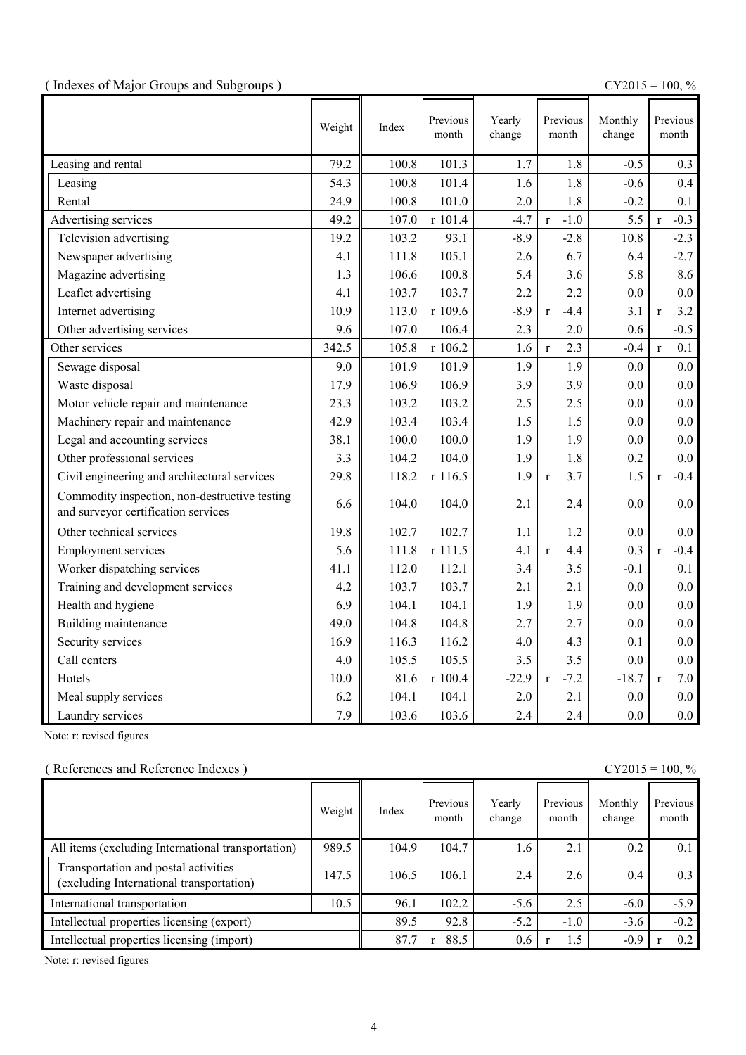(  $\text{CY2015} = 100, \%$ 

|                                                                                      | Weight | Index | Previous<br>month | Yearly<br>change | Previous<br>month      | Monthly<br>change | Previous<br>month      |
|--------------------------------------------------------------------------------------|--------|-------|-------------------|------------------|------------------------|-------------------|------------------------|
| Leasing and rental                                                                   | 79.2   | 100.8 | 101.3             | 1.7              | 1.8                    | $-0.5$            | 0.3                    |
| Leasing                                                                              | 54.3   | 100.8 | 101.4             | 1.6              | 1.8                    | $-0.6$            | 0.4                    |
| Rental                                                                               | 24.9   | 100.8 | 101.0             | 2.0              | 1.8                    | $-0.2$            | 0.1                    |
| Advertising services                                                                 | 49.2   | 107.0 | r 101.4           | $-4.7$           | $-1.0$<br>$\mathbf{r}$ | 5.5               | $-0.3$<br>$\mathbf{r}$ |
| Television advertising                                                               | 19.2   | 103.2 | 93.1              | $-8.9$           | $-2.8$                 | 10.8              | $-2.3$                 |
| Newspaper advertising                                                                | 4.1    | 111.8 | 105.1             | 2.6              | 6.7                    | 6.4               | $-2.7$                 |
| Magazine advertising                                                                 | 1.3    | 106.6 | 100.8             | 5.4              | 3.6                    | 5.8               | 8.6                    |
| Leaflet advertising                                                                  | 4.1    | 103.7 | 103.7             | 2.2              | 2.2                    | 0.0               | 0.0                    |
| Internet advertising                                                                 | 10.9   | 113.0 | r 109.6           | $-8.9$           | $-4.4$<br>$\mathbf{r}$ | 3.1               | 3.2<br>$\mathbf{r}$    |
| Other advertising services                                                           | 9.6    | 107.0 | 106.4             | 2.3              | 2.0                    | 0.6               | $-0.5$                 |
| Other services                                                                       | 342.5  | 105.8 | r 106.2           | 1.6              | 2.3<br>$\mathbf{r}$    | $-0.4$            | 0.1<br>$\mathbf{r}$    |
| Sewage disposal                                                                      | 9.0    | 101.9 | 101.9             | 1.9              | 1.9                    | 0.0               | 0.0                    |
| Waste disposal                                                                       | 17.9   | 106.9 | 106.9             | 3.9              | 3.9                    | 0.0               | 0.0                    |
| Motor vehicle repair and maintenance                                                 | 23.3   | 103.2 | 103.2             | 2.5              | 2.5                    | 0.0               | 0.0                    |
| Machinery repair and maintenance                                                     | 42.9   | 103.4 | 103.4             | 1.5              | 1.5                    | 0.0               | 0.0                    |
| Legal and accounting services                                                        | 38.1   | 100.0 | 100.0             | 1.9              | 1.9                    | 0.0               | 0.0                    |
| Other professional services                                                          | 3.3    | 104.2 | 104.0             | 1.9              | 1.8                    | 0.2               | 0.0                    |
| Civil engineering and architectural services                                         | 29.8   | 118.2 | r 116.5           | 1.9              | 3.7<br>$\mathbf{r}$    | 1.5               | $-0.4$<br>$\mathbf{r}$ |
| Commodity inspection, non-destructive testing<br>and surveyor certification services | 6.6    | 104.0 | 104.0             | 2.1              | 2.4                    | 0.0               | 0.0                    |
| Other technical services                                                             | 19.8   | 102.7 | 102.7             | 1.1              | 1.2                    | 0.0               | 0.0                    |
| <b>Employment services</b>                                                           | 5.6    | 111.8 | r 111.5           | 4.1              | 4.4<br>$\mathbf{r}$    | 0.3               | $-0.4$<br>$\mathbf{r}$ |
| Worker dispatching services                                                          | 41.1   | 112.0 | 112.1             | 3.4              | 3.5                    | $-0.1$            | 0.1                    |
| Training and development services                                                    | 4.2    | 103.7 | 103.7             | 2.1              | 2.1                    | 0.0               | 0.0                    |
| Health and hygiene                                                                   | 6.9    | 104.1 | 104.1             | 1.9              | 1.9                    | 0.0               | 0.0                    |
| Building maintenance                                                                 | 49.0   | 104.8 | 104.8             | 2.7              | 2.7                    | 0.0               | 0.0                    |
| Security services                                                                    | 16.9   | 116.3 | 116.2             | 4.0              | 4.3                    | 0.1               | 0.0                    |
| Call centers                                                                         | 4.0    | 105.5 | 105.5             | 3.5              | 3.5                    | 0.0               | 0.0                    |
| Hotels                                                                               | 10.0   | 81.6  | r 100.4           | $-22.9$          | $-7.2$<br>$\mathbf{r}$ | $-18.7$           | 7.0<br>$\mathbf{r}$    |
| Meal supply services                                                                 | 6.2    | 104.1 | 104.1             | 2.0              | 2.1                    | 0.0               | 0.0                    |
| Laundry services                                                                     | 7.9    | 103.6 | 103.6             | 2.4              | 2.4                    | 0.0               | $0.0\,$                |

Note: r: revised figures

### ( References and Reference Indexes ) CY2015 = 100, %

|                                                                                  | Weight | Index | Previous<br>month | Yearly<br>change | Previous<br>month | Monthly<br>change | Previous<br>month |
|----------------------------------------------------------------------------------|--------|-------|-------------------|------------------|-------------------|-------------------|-------------------|
| All items (excluding International transportation)                               | 989.5  | 104.9 | 104.7             | 1.6              | 2.1               | 0.2               | 0.1               |
| Transportation and postal activities<br>(excluding International transportation) | 147.5  | 106.5 | 106.1             | 2.4              | 2.6               | 0.4               | 0.3               |
| International transportation                                                     | 10.5   | 96.1  | 102.2             | $-5.6$           | 2.5               | $-6.0$            | $-5.9$            |
| Intellectual properties licensing (export)                                       |        | 89.5  | 92.8              | $-5.2$           | $-1.0$            | $-3.6$            | $-0.2$            |
| Intellectual properties licensing (import)                                       |        | 87.7  | 88.5              | 0.6              | 1.5               | $-0.9$            | 0.2               |

Note: r: revised figures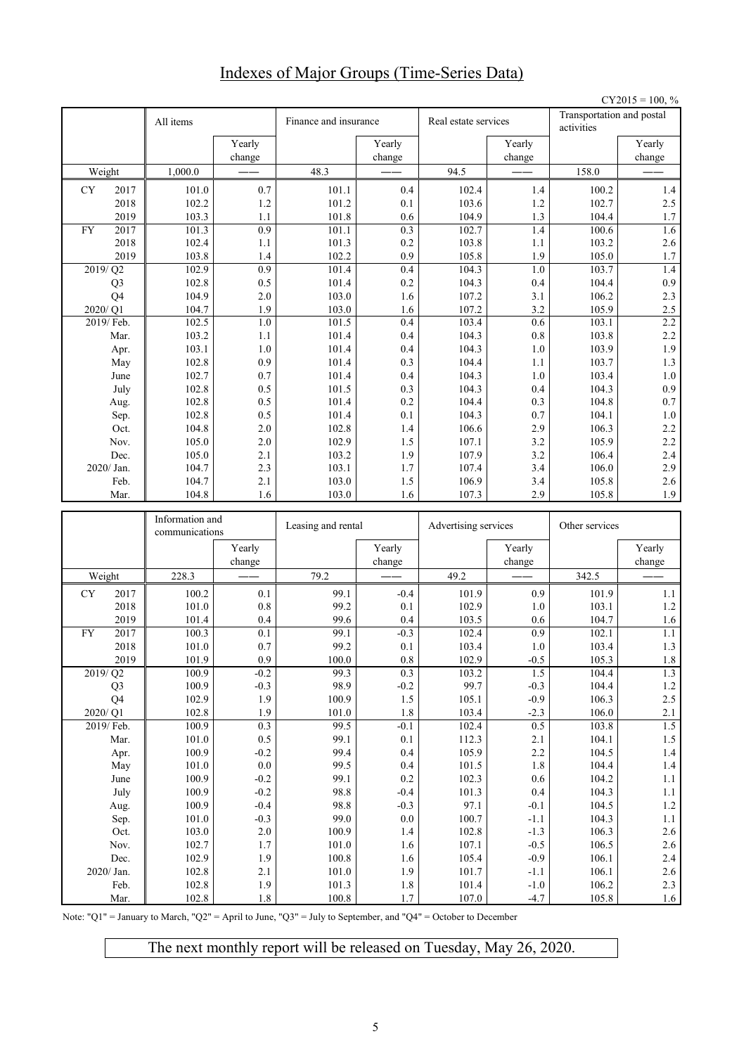## Indexes of Major Groups (Time-Series Data)

|           |                    |                                   |                         |                       |                    |                      |                  |                                         | $CY2015 = 100, %$  |
|-----------|--------------------|-----------------------------------|-------------------------|-----------------------|--------------------|----------------------|------------------|-----------------------------------------|--------------------|
|           |                    | All items                         |                         | Finance and insurance |                    | Real estate services |                  | Transportation and postal<br>activities |                    |
|           |                    |                                   | Yearly                  |                       | Yearly             |                      | Yearly           |                                         | Yearly             |
|           |                    |                                   | change                  |                       | change             |                      | change           |                                         | change             |
|           | Weight             | 1,000.0                           |                         | 48.3                  |                    | 94.5                 |                  | 158.0                                   |                    |
| CY        | 2017               | 101.0                             | 0.7                     | 101.1                 | 0.4                | 102.4                | 1.4              | 100.2                                   | $1.4$              |
|           | 2018               | 102.2                             | $1.2\,$                 | 101.2                 | 0.1                | 103.6                | 1.2              | 102.7                                   | 2.5                |
|           | 2019               | 103.3                             | 1.1                     | 101.8                 | 0.6                | 104.9                | 1.3              | 104.4                                   | 1.7                |
| <b>FY</b> | 2017               | 101.3                             | 0.9                     | 101.1                 | 0.3                | 102.7                | 1.4              | 100.6                                   | 1.6                |
|           | 2018               | 102.4                             | 1.1                     | 101.3                 | 0.2                | 103.8                | 1.1              | 103.2                                   | 2.6                |
|           | 2019<br>2019/Q2    | 103.8<br>102.9                    | 1.4<br>$\overline{0.9}$ | 102.2<br>101.4        | 0.9<br>0.4         | 105.8<br>104.3       | 1.9<br>1.0       | 105.0<br>103.7                          | 1.7<br>1.4         |
|           | Q <sub>3</sub>     | 102.8                             | 0.5                     | 101.4                 | 0.2                | 104.3                | 0.4              | 104.4                                   | 0.9                |
|           | Q4                 | 104.9                             | 2.0                     | 103.0                 | 1.6                | 107.2                | 3.1              | 106.2                                   | 2.3                |
|           | 2020/Q1            | 104.7                             | 1.9                     | 103.0                 | 1.6                | 107.2                | 3.2              | 105.9                                   | $2.5\,$            |
|           | 2019/ Feb.         | 102.5                             | $1.0\,$                 | 101.5                 | 0.4                | 103.4                | 0.6              | 103.1                                   | 2.2                |
|           | Mar.               | 103.2                             | 1.1                     | 101.4                 | 0.4                | 104.3                | 0.8              | 103.8                                   | 2.2                |
|           | Apr.               | 103.1                             | 1.0                     | 101.4                 | 0.4                | 104.3                | 1.0              | 103.9                                   | 1.9                |
|           | May                | 102.8                             | 0.9                     | 101.4                 | 0.3                | 104.4                | 1.1              | 103.7                                   | 1.3                |
|           | June               | 102.7                             | 0.7                     | 101.4                 | 0.4                | 104.3                | 1.0              | 103.4                                   | $1.0\,$            |
|           | July               | 102.8                             | 0.5                     | 101.5                 | 0.3                | 104.3                | 0.4              | 104.3                                   | 0.9                |
|           | Aug.               | 102.8                             | 0.5                     | 101.4                 | 0.2                | 104.4                | 0.3              | 104.8                                   | $0.7\,$            |
|           | Sep.               | 102.8                             | 0.5                     | 101.4                 | 0.1                | 104.3                | 0.7              | 104.1                                   | $1.0\,$            |
|           | Oct.               | 104.8                             | 2.0                     | 102.8                 | 1.4                | 106.6                | 2.9              | 106.3                                   | 2.2                |
|           | Nov.               | 105.0                             | 2.0                     | 102.9                 | 1.5                | 107.1                | 3.2              | 105.9                                   | 2.2                |
|           | Dec.               | 105.0                             | 2.1                     | 103.2                 | 1.9                | 107.9                | 3.2              | 106.4                                   | 2.4                |
|           | 2020/ Jan.<br>Feb. | 104.7<br>104.7                    | 2.3<br>2.1              | 103.1<br>103.0        | 1.7<br>1.5         | 107.4<br>106.9       | 3.4<br>3.4       | 106.0<br>105.8                          | 2.9<br>2.6         |
|           | Mar.               | 104.8                             | 1.6                     | 103.0                 | 1.6                | 107.3                | 2.9              | 105.8                                   | 1.9                |
|           |                    |                                   |                         |                       |                    |                      |                  |                                         |                    |
|           |                    |                                   |                         |                       |                    |                      |                  |                                         |                    |
|           |                    | Information and<br>communications |                         | Leasing and rental    |                    | Advertising services |                  | Other services                          |                    |
|           |                    |                                   | Yearly                  |                       | Yearly             |                      | Yearly           |                                         | Yearly             |
|           |                    |                                   | change                  |                       | change             |                      | change           |                                         | change             |
|           | Weight             | 228.3                             |                         | 79.2                  |                    | 49.2                 |                  | 342.5                                   |                    |
| CY        | 2017               | 100.2                             | 0.1                     | 99.1                  | $-0.4$             | 101.9                | 0.9              | 101.9                                   | 1.1                |
|           | 2018               | 101.0                             | $0.8\,$                 | 99.2                  | 0.1                | 102.9                | 1.0              | 103.1                                   | 1.2                |
| <b>FY</b> | 2019               | 101.4                             | 0.4                     | 99.6<br>99.1          | 0.4                | 103.5                | 0.6              | 104.7                                   | 1.6<br>1.1         |
|           | 2017               | 100.3                             | 0.1                     |                       | $-0.3$<br>0.1      | 102.4                | 0.9<br>1.0       | 102.1<br>103.4                          | 1.3                |
|           | 2018<br>2019       | 101.0<br>101.9                    | $0.7\,$<br>$0.9\,$      | 99.2<br>100.0         | $0.8\,$            | 103.4<br>102.9       |                  | 105.3                                   |                    |
|           | 2019/Q2            | 100.9                             | $-0.2$                  | 99.3                  | 0.3                | 103.2                | $-0.5$<br>1.5    | 104.4                                   | $1.8\,$<br>1.3     |
|           | Q <sub>3</sub>     | 100.9                             | $-0.3$                  | 98.9                  | $-0.2$             | 99.7                 | $-0.3$           | 104.4                                   | $1.2\,$            |
|           | Q4                 | 102.9                             | 1.9                     | 100.9                 | $1.5\,$            | 105.1                | $-0.9$           | 106.3                                   | $2.5\,$            |
|           | 2020/Q1            | 102.8                             | 1.9                     | 101.0                 | 1.8                | 103.4                | $-2.3$           | 106.0                                   | $2.1\,$            |
|           | 2019/ Feb.         | 100.9                             | 0.3                     | 99.5                  | $-0.1$             | 102.4                | 0.5              | 103.8                                   | $1.5\,$            |
|           | Mar.               | 101.0                             | $0.5\,$                 | 99.1                  | $0.1\,$            | 112.3                | 2.1              | 104.1                                   | 1.5                |
|           | Apr.               | 100.9                             | $-0.2$                  | 99.4                  | 0.4                | 105.9                | 2.2              | 104.5                                   | $1.4\,$            |
|           | May                | 101.0                             | $0.0\,$                 | 99.5                  | 0.4                | 101.5                | $1.8\,$          | 104.4                                   | $1.4$              |
|           | June               | 100.9                             | $-0.2$                  | 99.1                  | 0.2                | 102.3                | $0.6\,$          | 104.2                                   | $1.1\,$            |
|           | July               | 100.9                             | $-0.2$                  | 98.8                  | $-0.4$             | 101.3                | $0.4\,$          | 104.3                                   | $1.1\,$            |
|           | Aug.               | 100.9                             | $-0.4$                  | 98.8                  | $-0.3$             | 97.1                 | $-0.1$           | 104.5                                   | $1.2\,$            |
|           | Sep.               | 101.0<br>103.0                    | $-0.3$                  | 99.0<br>100.9         | $0.0\,$            | 100.7                | $-1.1$           | 104.3                                   | $1.1\,$            |
|           | Oct.<br>Nov.       | 102.7                             | $2.0\,$<br>$1.7\,$      | $101.0\,$             | 1.4<br>$1.6\,$     | 102.8<br>107.1       | $-1.3$<br>$-0.5$ | 106.3<br>106.5                          | $2.6\,$            |
|           | Dec.               | 102.9                             | 1.9                     | $100.8\,$             | 1.6                | 105.4                | $-0.9$           | 106.1                                   | $2.6\,$<br>$2.4\,$ |
|           | 2020/ Jan.         | 102.8                             | 2.1                     | $101.0\,$             | 1.9                | 101.7                | $-1.1$           | 106.1                                   | $2.6\,$            |
|           | Feb.<br>Mar.       | 102.8<br>102.8                    | 1.9<br>$1.8\,$          | 101.3<br>100.8        | $1.8\,$<br>$1.7\,$ | 101.4<br>107.0       | $-1.0$<br>$-4.7$ | 106.2<br>105.8                          | 2.3<br>1.6         |

Note: "Q1" = January to March, "Q2" = April to June, "Q3" = July to September, and "Q4" = October to December

The next monthly report will be released on Tuesday, May 26, 2020.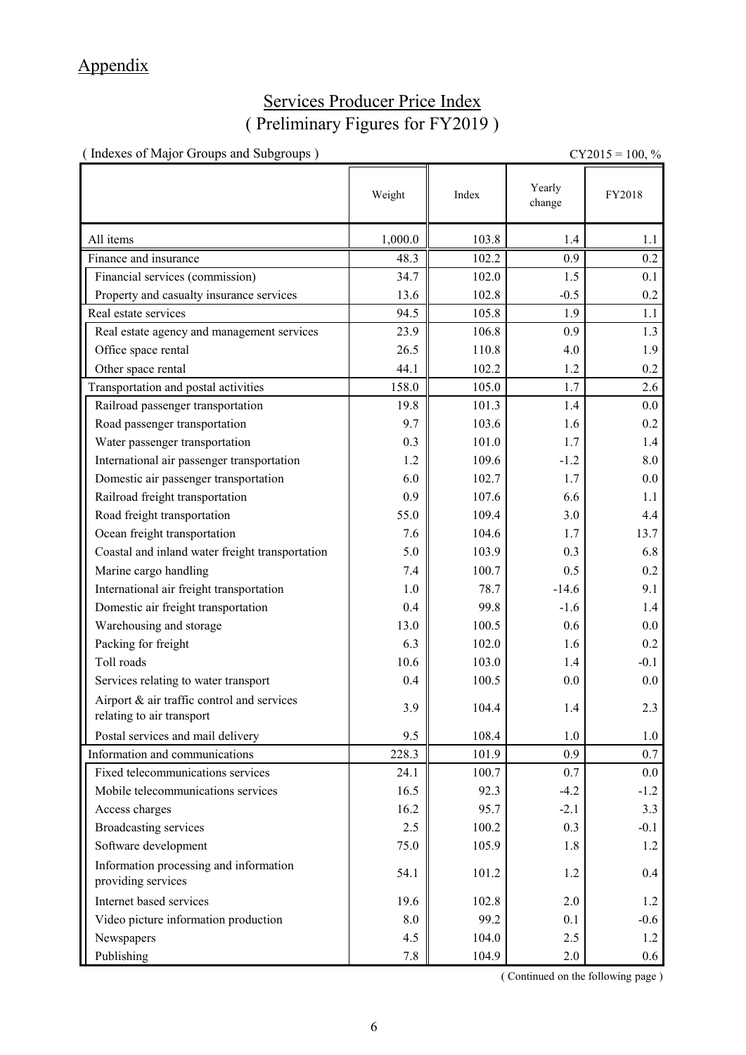## Appendix

## Services Producer Price Index ( Preliminary Figures for FY2019 )

( Indexes of Major Groups and Subgroups )  $CY2015 = 100, \%$ 

|                                                                         | Weight  | Index | Yearly<br>change | FY2018 |
|-------------------------------------------------------------------------|---------|-------|------------------|--------|
| All items                                                               | 1,000.0 | 103.8 | 1.4              | 1.1    |
| Finance and insurance                                                   | 48.3    | 102.2 | 0.9              | 0.2    |
| Financial services (commission)                                         | 34.7    | 102.0 | 1.5              | 0.1    |
| Property and casualty insurance services                                | 13.6    | 102.8 | $-0.5$           | 0.2    |
| Real estate services                                                    | 94.5    | 105.8 | 1.9              | 1.1    |
| Real estate agency and management services                              | 23.9    | 106.8 | 0.9              | 1.3    |
| Office space rental                                                     | 26.5    | 110.8 | 4.0              | 1.9    |
| Other space rental                                                      | 44.1    | 102.2 | 1.2              | 0.2    |
| Transportation and postal activities                                    | 158.0   | 105.0 | 1.7              | 2.6    |
| Railroad passenger transportation                                       | 19.8    | 101.3 | 1.4              | 0.0    |
| Road passenger transportation                                           | 9.7     | 103.6 | 1.6              | 0.2    |
| Water passenger transportation                                          | 0.3     | 101.0 | 1.7              | 1.4    |
| International air passenger transportation                              | 1.2     | 109.6 | $-1.2$           | 8.0    |
| Domestic air passenger transportation                                   | 6.0     | 102.7 | 1.7              | 0.0    |
| Railroad freight transportation                                         | 0.9     | 107.6 | 6.6              | 1.1    |
| Road freight transportation                                             | 55.0    | 109.4 | 3.0              | 4.4    |
| Ocean freight transportation                                            | 7.6     | 104.6 | 1.7              | 13.7   |
| Coastal and inland water freight transportation                         | 5.0     | 103.9 | 0.3              | 6.8    |
| Marine cargo handling                                                   | 7.4     | 100.7 | 0.5              | 0.2    |
| International air freight transportation                                | 1.0     | 78.7  | $-14.6$          | 9.1    |
| Domestic air freight transportation                                     | 0.4     | 99.8  | $-1.6$           | 1.4    |
| Warehousing and storage                                                 | 13.0    | 100.5 | 0.6              | 0.0    |
| Packing for freight                                                     | 6.3     | 102.0 | 1.6              | 0.2    |
| Toll roads                                                              | 10.6    | 103.0 | 1.4              | $-0.1$ |
| Services relating to water transport                                    | 0.4     | 100.5 | 0.0              | 0.0    |
| Airport & air traffic control and services<br>relating to air transport | 3.9     | 104.4 | 1.4              | 2.3    |
| Postal services and mail delivery                                       | 9.5     | 108.4 | 1.0              | 1.0    |
| Information and communications                                          | 228.3   | 101.9 | 0.9              | 0.7    |
| Fixed telecommunications services                                       | 24.1    | 100.7 | 0.7              | 0.0    |
| Mobile telecommunications services                                      | 16.5    | 92.3  | $-4.2$           | $-1.2$ |
| Access charges                                                          | 16.2    | 95.7  | $-2.1$           | 3.3    |
| <b>Broadcasting services</b>                                            | 2.5     | 100.2 | 0.3              | $-0.1$ |
| Software development                                                    | 75.0    | 105.9 | 1.8              | 1.2    |
| Information processing and information<br>providing services            | 54.1    | 101.2 | 1.2              | 0.4    |
| Internet based services                                                 | 19.6    | 102.8 | 2.0              | 1.2    |
| Video picture information production                                    | 8.0     | 99.2  | 0.1              | $-0.6$ |
| Newspapers                                                              | 4.5     | 104.0 | 2.5              | 1.2    |
| Publishing                                                              | 7.8     | 104.9 | 2.0              | 0.6    |

( Continued on the following page )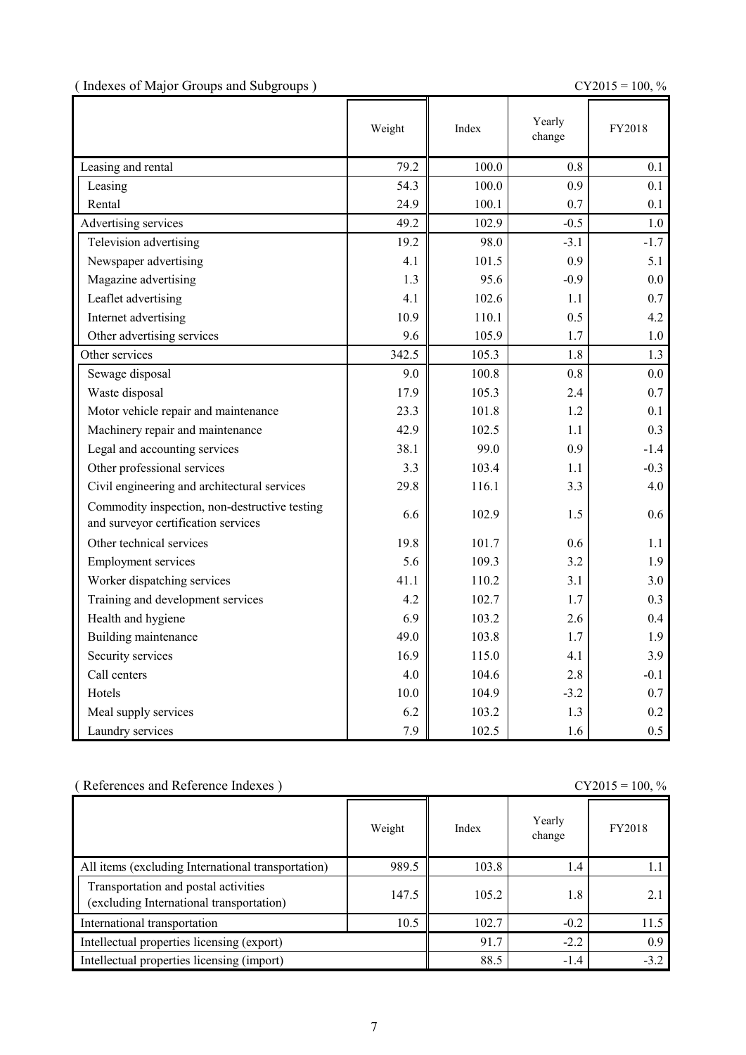|  |  | (Indexes of Major Groups and Subgroups) |  |
|--|--|-----------------------------------------|--|
|  |  |                                         |  |

 $CY2015 = 100, \%$ 

|                                                                                      | Weight | Index | Yearly<br>change | FY2018 |
|--------------------------------------------------------------------------------------|--------|-------|------------------|--------|
| Leasing and rental                                                                   | 79.2   | 100.0 | 0.8              | 0.1    |
| Leasing                                                                              | 54.3   | 100.0 | 0.9              | 0.1    |
| Rental                                                                               | 24.9   | 100.1 | 0.7              | 0.1    |
| Advertising services                                                                 | 49.2   | 102.9 | $-0.5$           | 1.0    |
| Television advertising                                                               | 19.2   | 98.0  | $-3.1$           | $-1.7$ |
| Newspaper advertising                                                                | 4.1    | 101.5 | 0.9              | 5.1    |
| Magazine advertising                                                                 | 1.3    | 95.6  | $-0.9$           | 0.0    |
| Leaflet advertising                                                                  | 4.1    | 102.6 | 1.1              | 0.7    |
| Internet advertising                                                                 | 10.9   | 110.1 | 0.5              | 4.2    |
| Other advertising services                                                           | 9.6    | 105.9 | 1.7              | 1.0    |
| Other services                                                                       | 342.5  | 105.3 | 1.8              | 1.3    |
| Sewage disposal                                                                      | 9.0    | 100.8 | 0.8              | 0.0    |
| Waste disposal                                                                       | 17.9   | 105.3 | 2.4              | 0.7    |
| Motor vehicle repair and maintenance                                                 | 23.3   | 101.8 | 1.2              | 0.1    |
| Machinery repair and maintenance                                                     | 42.9   | 102.5 | 1.1              | 0.3    |
| Legal and accounting services                                                        | 38.1   | 99.0  | 0.9              | $-1.4$ |
| Other professional services                                                          | 3.3    | 103.4 | 1.1              | $-0.3$ |
| Civil engineering and architectural services                                         | 29.8   | 116.1 | 3.3              | 4.0    |
| Commodity inspection, non-destructive testing<br>and surveyor certification services | 6.6    | 102.9 | 1.5              | 0.6    |
| Other technical services                                                             | 19.8   | 101.7 | 0.6              | 1.1    |
| <b>Employment services</b>                                                           | 5.6    | 109.3 | 3.2              | 1.9    |
| Worker dispatching services                                                          | 41.1   | 110.2 | 3.1              | 3.0    |
| Training and development services                                                    | 4.2    | 102.7 | 1.7              | 0.3    |
| Health and hygiene                                                                   | 6.9    | 103.2 | 2.6              | 0.4    |
| Building maintenance                                                                 | 49.0   | 103.8 | 1.7              | 1.9    |
| Security services                                                                    | 16.9   | 115.0 | 4.1              | 3.9    |
| Call centers                                                                         | 4.0    | 104.6 | 2.8              | $-0.1$ |
| Hotels                                                                               | 10.0   | 104.9 | $-3.2$           | 0.7    |
| Meal supply services                                                                 | 6.2    | 103.2 | 1.3              | 0.2    |
| Laundry services                                                                     | 7.9    | 102.5 | 1.6              | 0.5    |

| (References and Reference Indexes)                                               | $CY2015 = 100, %$ |        |                  |        |
|----------------------------------------------------------------------------------|-------------------|--------|------------------|--------|
|                                                                                  | Weight            | Index  | Yearly<br>change | FY2018 |
| All items (excluding International transportation)                               | 989.5             | 103.8  | 1.4              |        |
| Transportation and postal activities<br>(excluding International transportation) | 147.5             | 105.2  | 1.8              | 2.1    |
| International transportation                                                     | 10.5              | 102.7  | $-0.2$           | 11.5   |
| Intellectual properties licensing (export)                                       | 91.7              | $-2.2$ | 0.9              |        |
| Intellectual properties licensing (import)                                       | 88.5              | $-1.4$ | $-3.2$           |        |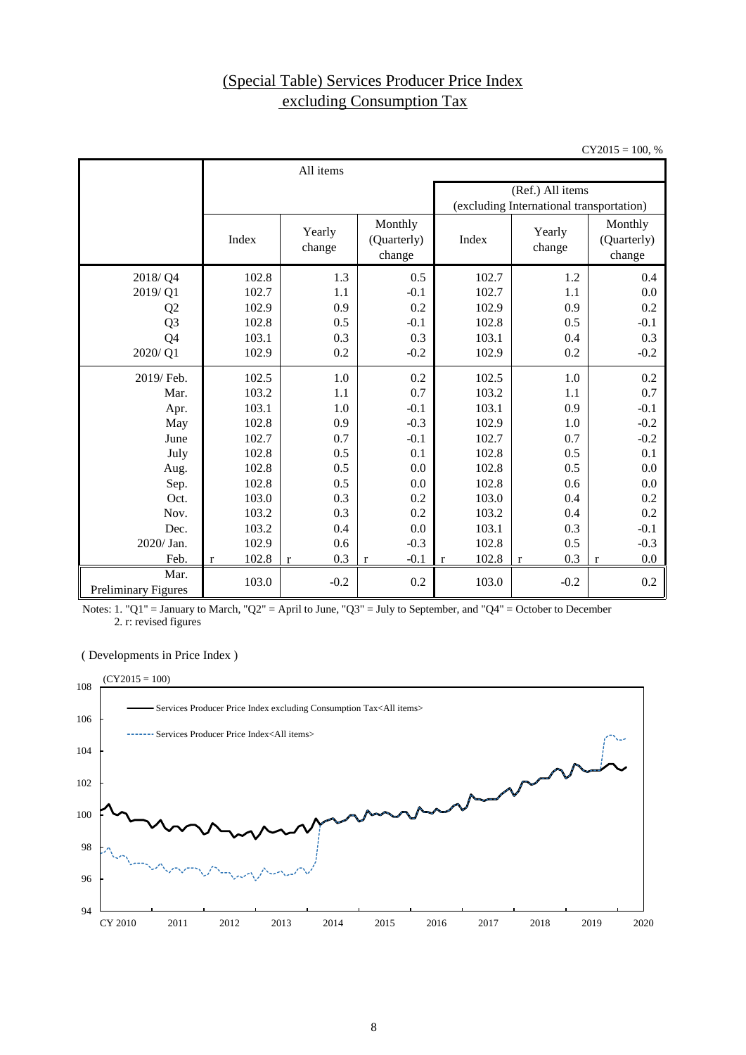## (Special Table) Services Producer Price Index excluding Consumption Tax

 $CY2015 = 100, %$ 

|                                    | All items             |                     |                                  |                                          |                  |                                  |  |  |
|------------------------------------|-----------------------|---------------------|----------------------------------|------------------------------------------|------------------|----------------------------------|--|--|
|                                    |                       |                     |                                  |                                          | (Ref.) All items |                                  |  |  |
|                                    |                       |                     |                                  | (excluding International transportation) |                  |                                  |  |  |
|                                    | Index                 | Yearly<br>change    | Monthly<br>(Quarterly)<br>change | Index                                    | Yearly<br>change | Monthly<br>(Quarterly)<br>change |  |  |
| 2018/Q4                            | 102.8                 | 1.3                 | 0.5                              | 102.7                                    | 1.2              | 0.4                              |  |  |
| 2019/Q1                            | 102.7                 | 1.1                 | $-0.1$                           | 102.7                                    | 1.1              | 0.0                              |  |  |
| Q <sub>2</sub>                     | 102.9                 | 0.9                 | 0.2                              | 102.9                                    | 0.9              | 0.2                              |  |  |
| Q <sub>3</sub>                     | 102.8                 | 0.5                 | $-0.1$                           | 102.8                                    | 0.5              | $-0.1$                           |  |  |
| Q4                                 | 103.1                 | 0.3                 | 0.3                              | 103.1                                    | 0.4              | 0.3                              |  |  |
| 2020/Q1                            | 102.9                 | 0.2                 | $-0.2$                           | 102.9                                    | 0.2              | $-0.2$                           |  |  |
| 2019/ Feb.                         | 102.5                 | 1.0                 | 0.2                              | 102.5                                    | 1.0              | 0.2                              |  |  |
| Mar.                               | 103.2                 | 1.1                 | 0.7                              | 103.2                                    | 1.1              | 0.7                              |  |  |
| Apr.                               | 103.1                 | 1.0                 | $-0.1$                           | 103.1                                    | 0.9              | $-0.1$                           |  |  |
| May                                | 102.8                 | 0.9                 | $-0.3$                           | 102.9                                    | 1.0              | $-0.2$                           |  |  |
| June                               | 102.7                 | 0.7                 | $-0.1$                           | 102.7                                    | 0.7              | $-0.2$                           |  |  |
| July                               | 102.8                 | 0.5                 | 0.1                              | 102.8                                    | 0.5              | 0.1                              |  |  |
| Aug.                               | 102.8                 | 0.5                 | 0.0                              | 102.8                                    | 0.5              | 0.0                              |  |  |
| Sep.                               | 102.8                 | 0.5                 | 0.0                              | 102.8                                    | 0.6              | 0.0                              |  |  |
| Oct.                               | 103.0                 | 0.3                 | 0.2                              | 103.0                                    | 0.4              | 0.2                              |  |  |
| Nov.                               | 103.2                 | 0.3                 | 0.2                              | 103.2                                    | 0.4              | 0.2                              |  |  |
| Dec.                               | 103.2                 | 0.4                 | 0.0                              | 103.1                                    | 0.3              | $-0.1$                           |  |  |
| 2020/Jan.                          | 102.9                 | 0.6                 | $-0.3$                           | 102.8                                    | 0.5              | $-0.3$                           |  |  |
| Feb.                               | 102.8<br>$\mathbf{r}$ | 0.3<br>$\mathbf{r}$ | $-0.1$<br>$\mathbf r$            | 102.8<br>$\mathbf{r}$                    | 0.3<br>$\bf r$   | 0.0<br>$\mathbf r$               |  |  |
| Mar.<br><b>Preliminary Figures</b> | 103.0                 | $-0.2$              | 0.2                              | 103.0                                    | $-0.2$           | 0.2                              |  |  |

Notes: 1. "Q1" = January to March, "Q2" = April to June, "Q3" = July to September, and "Q4" = October to December  $2.$  r: revised figures

( Developments in Price Index )

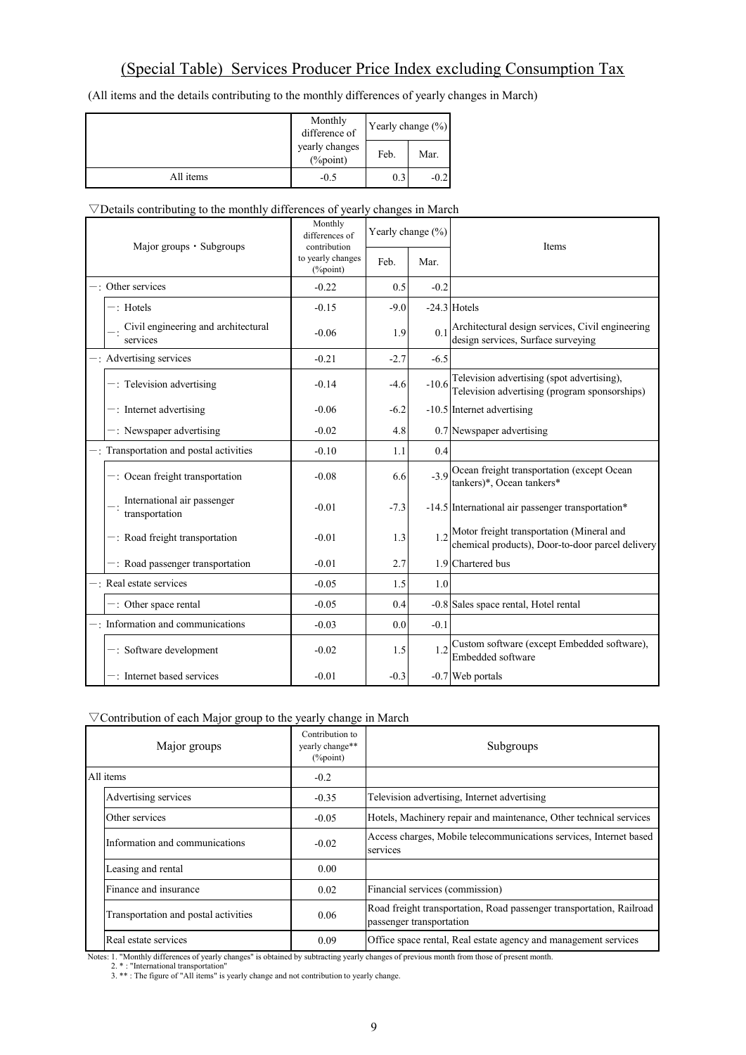## (Special Table) Services Producer Price Index excluding Consumption Tax

(All items and the details contributing to the monthly differences of yearly changes in March)

|           | Monthly<br>difference of       | Yearly change $(\% )$ |        |  |
|-----------|--------------------------------|-----------------------|--------|--|
|           | yearly changes<br>$(\%$ point) | Feb.                  | Mar.   |  |
| All items | $-0.5$                         | 0.3                   | $-0.2$ |  |

#### ▽Details contributing to the monthly differences of yearly changes in March

| Major groups • Subgroups |                                                 | Monthly<br>differences of<br>contribution | Yearly change (%) |         | <b>Items</b>                                                                                        |  |
|--------------------------|-------------------------------------------------|-------------------------------------------|-------------------|---------|-----------------------------------------------------------------------------------------------------|--|
|                          |                                                 | to yearly changes<br>(%point)             | Feb.              | Mar.    |                                                                                                     |  |
|                          | -: Other services                               | $-0.22$                                   | 0.5               | $-0.2$  |                                                                                                     |  |
|                          | $-$ : Hotels                                    | $-0.15$                                   | $-9.0$            |         | $-24.3$ Hotels                                                                                      |  |
|                          | Civil engineering and architectural<br>services | $-0.06$                                   | 1.9               | 0.1     | Architectural design services, Civil engineering<br>design services, Surface surveying              |  |
|                          | -: Advertising services                         | $-0.21$                                   | $-2.7$            | $-6.5$  |                                                                                                     |  |
|                          | $-$ : Television advertising                    | $-0.14$                                   | $-4.6$            | $-10.6$ | Television advertising (spot advertising),<br>Television advertising (program sponsorships)         |  |
|                          | $-$ : Internet advertising                      | $-0.06$                                   | $-6.2$            |         | -10.5 Internet advertising                                                                          |  |
|                          | $-$ : Newspaper advertising                     | $-0.02$                                   | 4.8               |         | 0.7 Newspaper advertising                                                                           |  |
|                          | -: Transportation and postal activities         | $-0.10$                                   | 1.1               | 0.4     |                                                                                                     |  |
|                          | $-$ : Ocean freight transportation              | $-0.08$                                   | 6.6               |         | -3.9 Ocean freight transportation (except Ocean<br>tankers)*, Ocean tankers*                        |  |
|                          | International air passenger<br>transportation   | $-0.01$                                   | $-7.3$            |         | -14.5 International air passenger transportation*                                                   |  |
|                          | $-$ : Road freight transportation               | $-0.01$                                   | 1.3               |         | $1.2$ Motor freight transportation (Mineral and<br>chemical products), Door-to-door parcel delivery |  |
|                          | -: Road passenger transportation                | $-0.01$                                   | 2.7               |         | 1.9 Chartered bus                                                                                   |  |
|                          | -: Real estate services                         | $-0.05$                                   | 1.5               | 1.0     |                                                                                                     |  |
|                          | $-$ : Other space rental                        | $-0.05$                                   | 0.4               |         | -0.8 Sales space rental, Hotel rental                                                               |  |
|                          | $-$ : Information and communications            | $-0.03$                                   | 0.0               | $-0.1$  |                                                                                                     |  |
|                          | $-$ : Software development                      | $-0.02$                                   | 1.5               | 1.2     | Custom software (except Embedded software),<br>Embedded software                                    |  |
|                          | -: Internet based services                      | $-0.01$                                   | $-0.3$            |         | -0.7 Web portals                                                                                    |  |

#### ▽Contribution of each Major group to the yearly change in March

| Major groups                         | Contribution to<br>yearly change**<br>$(\%point)$ | Subgroups                                                                                        |
|--------------------------------------|---------------------------------------------------|--------------------------------------------------------------------------------------------------|
| All items                            | $-0.2$                                            |                                                                                                  |
| Advertising services                 | $-0.35$                                           | Television advertising, Internet advertising                                                     |
| Other services                       | $-0.05$                                           | Hotels, Machinery repair and maintenance, Other technical services                               |
| Information and communications       | $-0.02$                                           | Access charges, Mobile telecommunications services, Internet based<br>services                   |
| Leasing and rental                   | 0.00                                              |                                                                                                  |
| Finance and insurance                | 0.02                                              | Financial services (commission)                                                                  |
| Transportation and postal activities | 0.06                                              | Road freight transportation, Road passenger transportation, Railroad<br>passenger transportation |
| Real estate services                 | 0.09                                              | Office space rental, Real estate agency and management services                                  |

Notes: 1. "Monthly differences of yearly changes" is obtained by subtracting yearly changes of previous month from those of present month.<br>2. \* : "International transportation"<br>3. \*\* : The figure of "All items" is yearly c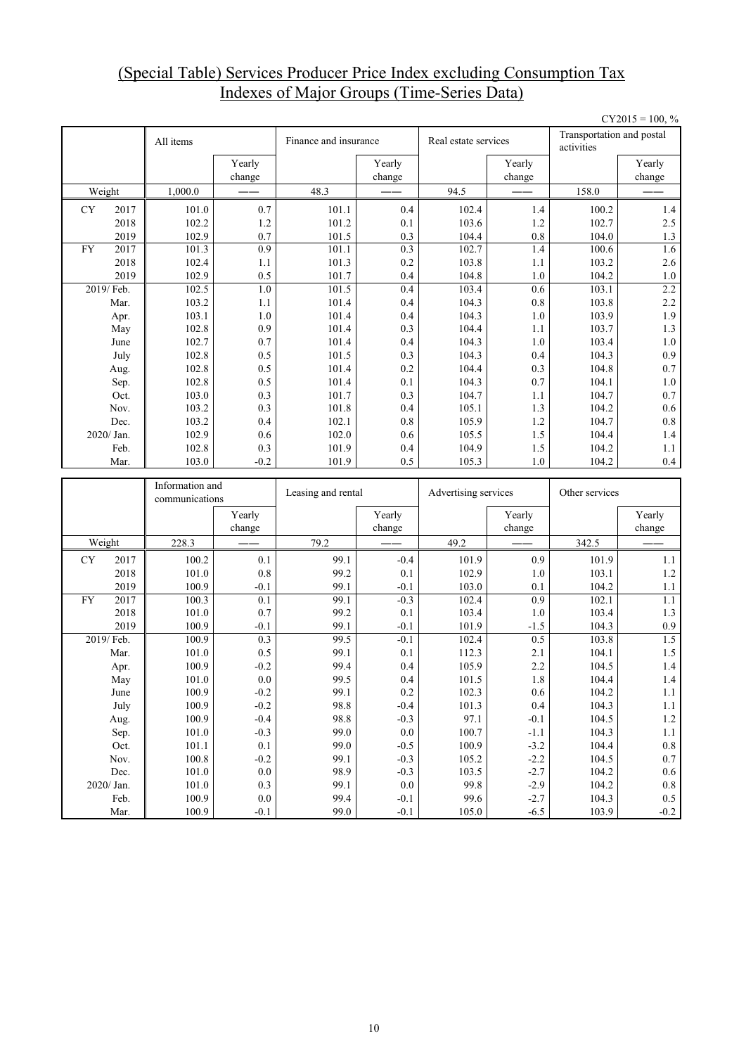## (Special Table) Services Producer Price Index excluding Consumption Tax Indexes of Major Groups (Time-Series Data)

|           |              |                                   |                   |                       |                  |                      |                  |                                         | $CY2015 = 100, %$ |
|-----------|--------------|-----------------------------------|-------------------|-----------------------|------------------|----------------------|------------------|-----------------------------------------|-------------------|
|           |              | All items                         |                   | Finance and insurance |                  | Real estate services |                  | Transportation and postal<br>activities |                   |
|           |              |                                   | Yearly            |                       | Yearly           |                      | Yearly           |                                         | Yearly            |
|           |              |                                   | change            |                       | change           |                      | change           |                                         | change            |
|           | Weight       | 1,000.0                           |                   | 48.3                  |                  | 94.5                 |                  | 158.0                                   |                   |
| <b>CY</b> | 2017         | 101.0                             | 0.7               | 101.1                 | 0.4              | 102.4                | 1.4              | 100.2                                   | 1.4               |
|           | 2018         | 102.2                             | 1.2               | 101.2                 | 0.1              | 103.6                | 1.2              | 102.7                                   | 2.5               |
|           | 2019         | 102.9                             | 0.7               | 101.5                 | 0.3              | 104.4                | 0.8              | 104.0                                   | 1.3               |
| FY        | 2017         | 101.3                             | 0.9               | 101.1                 | 0.3              | 102.7                | 1.4              | 100.6                                   | 1.6               |
|           | 2018         | 102.4                             | 1.1               | 101.3                 | 0.2              | 103.8                | 1.1              | 103.2                                   | 2.6               |
|           | 2019         | 102.9                             | 0.5               | 101.7                 | 0.4              | 104.8                | 1.0              | 104.2                                   | 1.0               |
|           | 2019/ Feb.   | 102.5                             | 1.0               | 101.5                 | 0.4              | 103.4                | 0.6              | 103.1                                   | 2.2               |
|           | Mar.         | 103.2                             | 1.1               | 101.4                 | 0.4              | 104.3                | 0.8              | 103.8                                   | 2.2               |
|           | Apr.<br>May  | 103.1<br>102.8                    | $1.0\,$<br>0.9    | 101.4<br>101.4        | 0.4<br>0.3       | 104.3<br>104.4       | 1.0<br>1.1       | 103.9<br>103.7                          | 1.9<br>1.3        |
|           | June         | 102.7                             | 0.7               | 101.4                 | 0.4              | 104.3                | 1.0              | 103.4                                   | $1.0\,$           |
|           | July         | 102.8                             | 0.5               | 101.5                 | 0.3              | 104.3                | 0.4              | 104.3                                   | 0.9               |
|           | Aug.         | 102.8                             | 0.5               | 101.4                 | 0.2              | 104.4                | 0.3              | 104.8                                   | $0.7\,$           |
|           | Sep.         | 102.8                             | 0.5               | 101.4                 | 0.1              | 104.3                | 0.7              | 104.1                                   | 1.0               |
|           | Oct.         | 103.0                             | 0.3               | 101.7                 | 0.3              | 104.7                | 1.1              | 104.7                                   | $0.7\,$           |
|           | Nov.         | 103.2                             | 0.3               | 101.8                 | 0.4              | 105.1                | 1.3              | 104.2                                   | $0.6\,$           |
|           | Dec.         | 103.2                             | 0.4               | 102.1                 | 0.8              | 105.9                | 1.2              | 104.7                                   | $0.8\,$           |
|           | 2020/ Jan.   | 102.9                             | 0.6               | 102.0                 | 0.6              | 105.5                | 1.5              | 104.4                                   | 1.4               |
|           | Feb.         | 102.8                             | 0.3               | 101.9                 | 0.4              | 104.9                | 1.5              | 104.2                                   | 1.1               |
|           | Mar.         | 103.0                             | $-0.2$            | 101.9                 | 0.5              | 105.3                | 1.0              | 104.2                                   | 0.4               |
|           |              |                                   |                   |                       |                  |                      |                  |                                         |                   |
|           |              |                                   |                   |                       |                  |                      |                  |                                         |                   |
|           |              | Information and<br>communications |                   | Leasing and rental    |                  | Advertising services |                  | Other services                          |                   |
|           |              |                                   | Yearly            |                       | Yearly           |                      | Yearly           |                                         | Yearly            |
|           |              |                                   | change            |                       | change           |                      | change           |                                         | change            |
|           | Weight       | 228.3                             |                   | 79.2                  |                  | 49.2                 |                  | 342.5                                   |                   |
| CY        | 2017         | 100.2                             | 0.1               | 99.1                  | $-0.4$           | 101.9                | 0.9              | 101.9                                   | 1.1               |
|           | 2018         | 101.0                             | 0.8               | 99.2                  | 0.1              | 102.9                | 1.0              | 103.1                                   | 1.2               |
|           | 2019         | 100.9                             | $-0.1$            | 99.1                  | $-0.1$           | 103.0                | 0.1              | 104.2                                   | 1.1               |
| <b>FY</b> | 2017         | 100.3                             | 0.1               | 99.1                  | $-0.3$           | 102.4                | 0.9              | 102.1                                   | 1.1               |
|           | 2018         | 101.0                             | 0.7               | 99.2                  | 0.1              | 103.4                | 1.0              | 103.4                                   | $1.3$             |
|           | 2019         | 100.9                             | $-0.1$            | 99.1                  | $-0.1$           | 101.9                | $-1.5$           | 104.3                                   | 0.9               |
|           | 2019/ Feb.   | 100.9                             | 0.3               | 99.5                  | $-0.1$           | 102.4                | 0.5              | 103.8                                   | 1.5               |
|           | Mar.         | 101.0                             | 0.5               | 99.1                  | 0.1              | 112.3                | 2.1              | 104.1                                   | 1.5               |
|           | Apr.         | 100.9                             | $-0.2$            | 99.4<br>99.5          | 0.4              | 105.9                | 2.2              | 104.5                                   | 1.4               |
|           | May<br>June  | 101.0<br>100.9                    | 0.0<br>$-0.2$     | 99.1                  | 0.4<br>$0.2\,$   | 101.5<br>102.3       | 1.8<br>$0.6\,$   | 104.4<br>104.2                          | 1.4<br>1.1        |
|           | July         | 100.9                             | $-0.2$            | 98.8                  | $-0.4$           | 101.3                | 0.4              | 104.3                                   | $1.1\,$           |
|           | Aug.         | 100.9                             | $-0.4$            | 98.8                  | $-0.3$           | 97.1                 | $-0.1$           | 104.5                                   | $1.2\,$           |
|           | Sep.         | 101.0                             | $-0.3$            | 99.0                  | $0.0\,$          | 100.7                | $-1.1$           | 104.3                                   | $1.1\,$           |
|           | Oct.         | 101.1                             | 0.1               | 99.0                  | $-0.5$           | 100.9                | $-3.2$           | 104.4                                   | $\rm 0.8$         |
|           | Nov.         | 100.8                             | $-0.2$            | 99.1                  | $-0.3$           | 105.2                | $-2.2$           | 104.5                                   | 0.7               |
|           | Dec.         | 101.0                             | $0.0\,$           | 98.9                  | $-0.3$           | 103.5                | $-2.7$           | 104.2                                   | $0.6\,$           |
|           | 2020/ Jan.   | 101.0                             | 0.3               | 99.1                  | $0.0\,$          | 99.8                 | $-2.9$           | 104.2                                   | $0.8\,$           |
|           | Feb.<br>Mar. | 100.9<br>100.9                    | $0.0\,$<br>$-0.1$ | 99.4<br>99.0          | $-0.1$<br>$-0.1$ | 99.6<br>$105.0\,$    | $-2.7$<br>$-6.5$ | 104.3<br>103.9                          | $0.5\,$<br>$-0.2$ |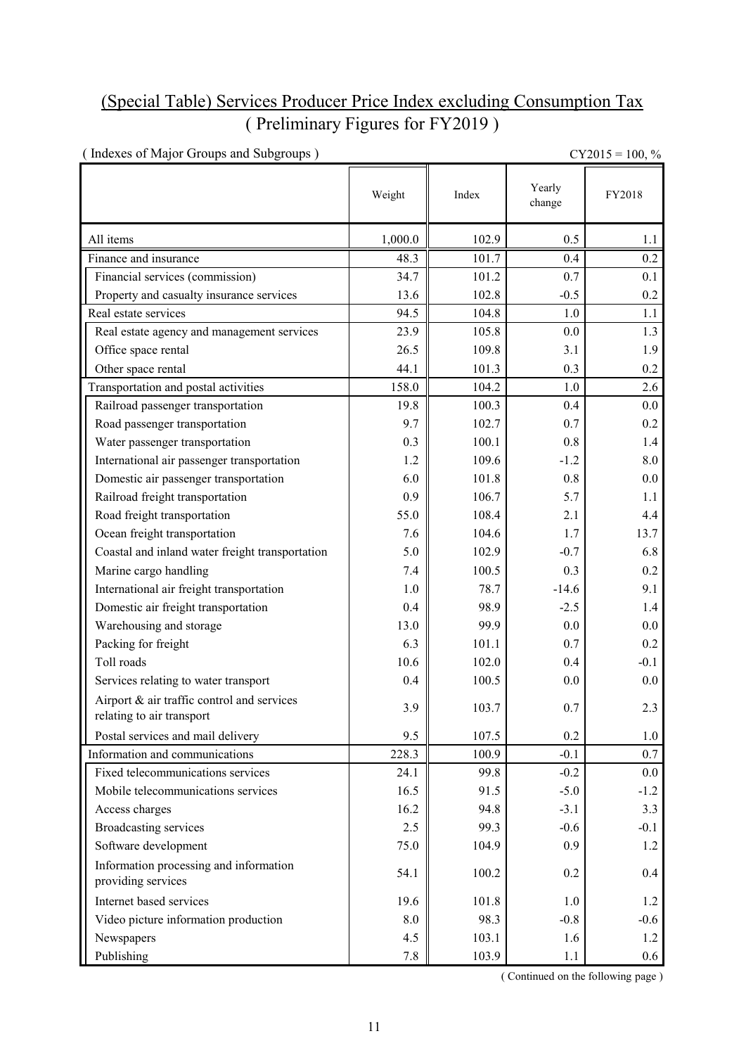## (Special Table) Services Producer Price Index excluding Consumption Tax ( Preliminary Figures for FY2019 )

| (Indexes of Major Groups and Subgroups)                                 | $CY2015 = 100, \%$ |       |                  |         |
|-------------------------------------------------------------------------|--------------------|-------|------------------|---------|
|                                                                         | Weight             | Index | Yearly<br>change | FY2018  |
| All items                                                               | 1,000.0            | 102.9 | 0.5              | 1.1     |
| Finance and insurance                                                   | 48.3               | 101.7 | 0.4              | 0.2     |
| Financial services (commission)                                         | 34.7               | 101.2 | 0.7              | 0.1     |
| Property and casualty insurance services                                | 13.6               | 102.8 | $-0.5$           | 0.2     |
| Real estate services                                                    | 94.5               | 104.8 | 1.0              | 1.1     |
| Real estate agency and management services                              | 23.9               | 105.8 | 0.0              | 1.3     |
| Office space rental                                                     | 26.5               | 109.8 | 3.1              | 1.9     |
| Other space rental                                                      | 44.1               | 101.3 | 0.3              | 0.2     |
| Transportation and postal activities                                    | 158.0              | 104.2 | 1.0              | 2.6     |
| Railroad passenger transportation                                       | 19.8               | 100.3 | 0.4              | 0.0     |
| Road passenger transportation                                           | 9.7                | 102.7 | 0.7              | 0.2     |
| Water passenger transportation                                          | 0.3                | 100.1 | 0.8              | 1.4     |
| International air passenger transportation                              | 1.2                | 109.6 | $-1.2$           | 8.0     |
| Domestic air passenger transportation                                   | 6.0                | 101.8 | 0.8              | 0.0     |
| Railroad freight transportation                                         | 0.9                | 106.7 | 5.7              | 1.1     |
| Road freight transportation                                             | 55.0               | 108.4 | 2.1              | 4.4     |
| Ocean freight transportation                                            | 7.6                | 104.6 | 1.7              | 13.7    |
| Coastal and inland water freight transportation                         | 5.0                | 102.9 | $-0.7$           | 6.8     |
| Marine cargo handling                                                   | 7.4                | 100.5 | 0.3              | 0.2     |
| International air freight transportation                                | 1.0                | 78.7  | $-14.6$          | 9.1     |
| Domestic air freight transportation                                     | 0.4                | 98.9  | $-2.5$           | 1.4     |
| Warehousing and storage                                                 | 13.0               | 99.9  | 0.0              | 0.0     |
| Packing for freight                                                     | 6.3                | 101.1 | 0.7              | 0.2     |
| Toll roads                                                              | 10.6               | 102.0 | 0.4              | $-0.1$  |
| Services relating to water transport                                    | 0.4                | 100.5 | 0.0              | 0.0     |
| Airport & air traffic control and services<br>relating to air transport | 3.9                | 103.7 | 0.7              | 2.3     |
| Postal services and mail delivery                                       | 9.5                | 107.5 | 0.2              | 1.0     |
| Information and communications                                          | 228.3              | 100.9 | $-0.1$           | 0.7     |
| Fixed telecommunications services                                       | 24.1               | 99.8  | $-0.2$           | $0.0\,$ |
| Mobile telecommunications services                                      | 16.5               | 91.5  | $-5.0$           | $-1.2$  |
| Access charges                                                          | 16.2               | 94.8  | $-3.1$           | 3.3     |
| <b>Broadcasting services</b>                                            | 2.5                | 99.3  | $-0.6$           | $-0.1$  |
| Software development                                                    | 75.0               | 104.9 | 0.9              | 1.2     |
| Information processing and information<br>providing services            | 54.1               | 100.2 | 0.2              | 0.4     |
| Internet based services                                                 | 19.6               | 101.8 | 1.0              | 1.2     |
| Video picture information production                                    | $\boldsymbol{8.0}$ | 98.3  | $-0.8$           | $-0.6$  |
| Newspapers                                                              | 4.5                | 103.1 | 1.6              | 1.2     |
| Publishing                                                              | 7.8                | 103.9 | 1.1              | $0.6\,$ |

( Continued on the following page )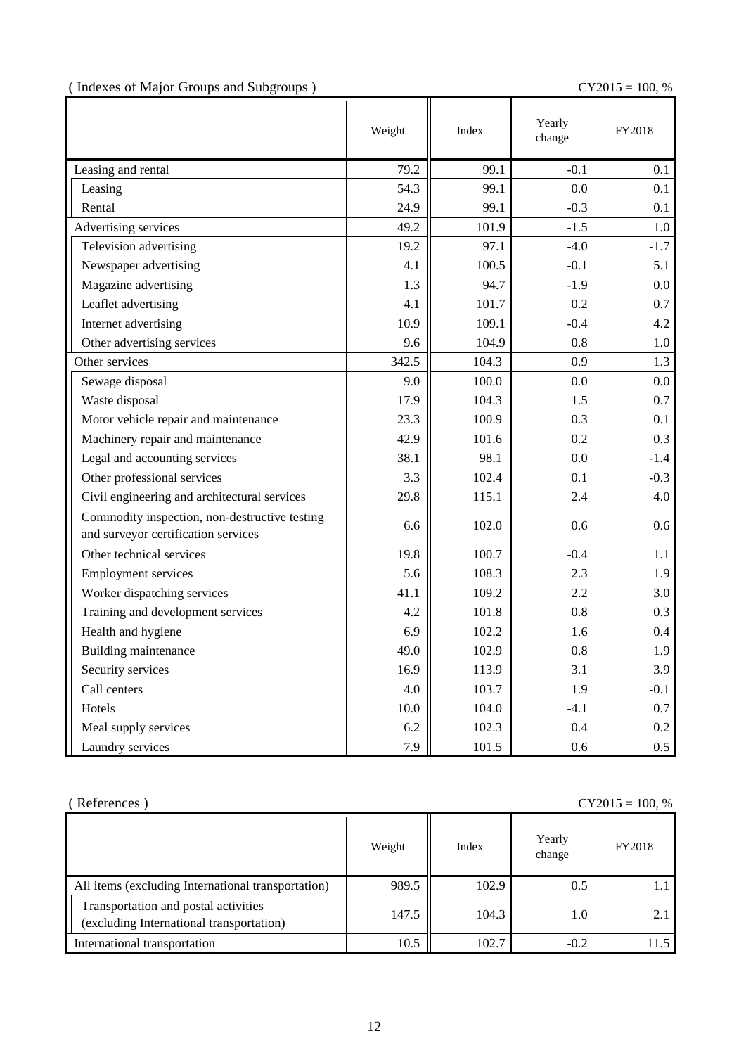(Indexes of Major Groups and Subgroups ) CY2015 = 100, %

|                                                                                      | Weight | Index | Yearly<br>change | FY2018  |
|--------------------------------------------------------------------------------------|--------|-------|------------------|---------|
| Leasing and rental                                                                   | 79.2   | 99.1  | $-0.1$           | 0.1     |
| Leasing                                                                              | 54.3   | 99.1  | 0.0              | 0.1     |
| Rental                                                                               | 24.9   | 99.1  | $-0.3$           | 0.1     |
| Advertising services                                                                 | 49.2   | 101.9 | $-1.5$           | 1.0     |
| Television advertising                                                               | 19.2   | 97.1  | $-4.0$           | $-1.7$  |
| Newspaper advertising                                                                | 4.1    | 100.5 | $-0.1$           | 5.1     |
| Magazine advertising                                                                 | 1.3    | 94.7  | $-1.9$           | $0.0\,$ |
| Leaflet advertising                                                                  | 4.1    | 101.7 | 0.2              | 0.7     |
| Internet advertising                                                                 | 10.9   | 109.1 | $-0.4$           | 4.2     |
| Other advertising services                                                           | 9.6    | 104.9 | 0.8              | 1.0     |
| Other services                                                                       | 342.5  | 104.3 | 0.9              | 1.3     |
| Sewage disposal                                                                      | 9.0    | 100.0 | 0.0              | 0.0     |
| Waste disposal                                                                       | 17.9   | 104.3 | 1.5              | 0.7     |
| Motor vehicle repair and maintenance                                                 | 23.3   | 100.9 | 0.3              | 0.1     |
| Machinery repair and maintenance                                                     | 42.9   | 101.6 | 0.2              | 0.3     |
| Legal and accounting services                                                        | 38.1   | 98.1  | 0.0              | $-1.4$  |
| Other professional services                                                          | 3.3    | 102.4 | 0.1              | $-0.3$  |
| Civil engineering and architectural services                                         | 29.8   | 115.1 | 2.4              | 4.0     |
| Commodity inspection, non-destructive testing<br>and surveyor certification services | 6.6    | 102.0 | 0.6              | 0.6     |
| Other technical services                                                             | 19.8   | 100.7 | $-0.4$           | 1.1     |
| <b>Employment services</b>                                                           | 5.6    | 108.3 | 2.3              | 1.9     |
| Worker dispatching services                                                          | 41.1   | 109.2 | 2.2              | 3.0     |
| Training and development services                                                    | 4.2    | 101.8 | 0.8              | 0.3     |
| Health and hygiene                                                                   | 6.9    | 102.2 | 1.6              | 0.4     |
| Building maintenance                                                                 | 49.0   | 102.9 | 0.8              | 1.9     |
| Security services                                                                    | 16.9   | 113.9 | 3.1              | 3.9     |
| Call centers                                                                         | 4.0    | 103.7 | 1.9              | $-0.1$  |
| Hotels                                                                               | 10.0   | 104.0 | $-4.1$           | 0.7     |
| Meal supply services                                                                 | 6.2    | 102.3 | 0.4              | 0.2     |
| Laundry services                                                                     | 7.9    | 101.5 | 0.6              | 0.5     |

| (References)<br>$CY2015 = 100, %$                                                |        |       |                  |        |  |
|----------------------------------------------------------------------------------|--------|-------|------------------|--------|--|
|                                                                                  | Weight | Index | Yearly<br>change | FY2018 |  |
| All items (excluding International transportation)                               | 989.5  | 102.9 | 0.5              |        |  |
| Transportation and postal activities<br>(excluding International transportation) | 147.5  | 104.3 | 1.0              |        |  |
| International transportation                                                     | 10.5   | 102.7 | $-0.2$           | 115    |  |